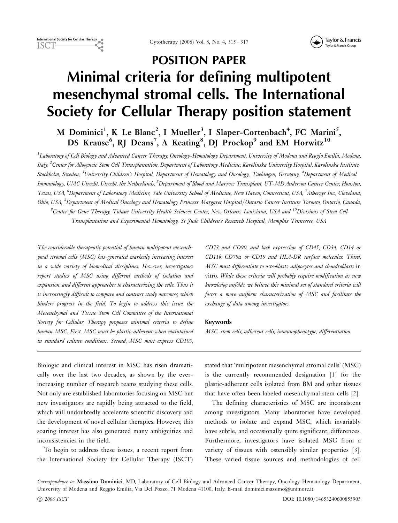

## POSITION PAPER Minimal criteria for defining multipotent mesenchymal stromal cells. The International Society for Cellular Therapy position statement

## M Dominici<sup>1</sup>, K Le Blanc<sup>2</sup>, I Mueller<sup>3</sup>, I Slaper-Cortenbach<sup>4</sup>, FC Marini<sup>5</sup>, DS Krause<sup>6</sup>, RJ Deans<sup>7</sup>, A Keating<sup>8</sup>, DJ Prockop<sup>9</sup> and EM Horwitz<sup>10</sup>

 $^{\rm 1}$ Laboratory of Cell Biology and Advanced Cancer Therapy, Oncology-Hematology Department, University of Modena and Reggio Emilia, Modena, Italy, <sup>2</sup>Center for Allogeneic Stem Cell Transplantation, Department of Laboratory Medicine, Karolinska University Hospital, Karolinska Institute, Stockholm, Sweden, <sup>3</sup>University Children's Hospital, Department of Hematology and Oncology, Tuebingen, Germany, <sup>4</sup>Department of Medical Immunology, UMC Utrecht, Utrecht, the Netherlands, <sup>5</sup>Department of Blood and Marrow Transplant, UT-MD Anderson Cancer Center, Houston, Texas, USA, <sup>6</sup>Department of Laboratory Medicine, Yale University School of Medicine, New Haven, Connecticut, USA, <sup>7</sup>Athersys Inc., Cleveland, Ohio, USA, <sup>8</sup>Department of Medical Oncology and Hematology Princess Margaret Hospital/Ontario Cancer Institute Toronto, Ontario, Canada,  $^9$ Center for Gene Therapy, Tulane University Health Sciences Center, New Orleans, Louisiana, USA and  $^{10}$ Divisions of Stem Cell

Transplantation and Experimental Hematology, St Jude Children's Research Hospital, Memphis Tennessee, USA

The considerable therapeutic potential of human multipotent mesenchymal stromal cells (MSC) has generated markedly increasing interest in a wide variety of biomedical disciplines. However, investigators report studies of MSC using different methods of isolation and expansion, and different approaches to characterizing the cells. Thus it is increasingly difficult to compare and contrast study outcomes, which hinders progress in the field. To begin to address this issue, the Mesenchymal and Tissue Stem Cell Committee of the International Society for Cellular Therapy proposes minimal criteria to define human MSC. First, MSC must be plastic-adherent when maintained in standard culture conditions. Second, MSC must express CD105,

CD73 and CD90, and lack expression of CD45, CD34, CD14 or CD11b, CD79a or CD19 and HLA-DR surface molecules. Third, MSC must differentiate to osteoblasts, adipocytes and chondroblasts in vitro. While these criteria will probably require modification as new knowledge unfolds, we believe this minimal set of standard criteria will foster a more uniform characterization of MSC and facilitate the exchange of data among investigators.

## Keywords

MSC, stem cells, adherent cells, immunophenotype, differentiation.

Biologic and clinical interest in MSC has risen dramatically over the last two decades, as shown by the everincreasing number of research teams studying these cells. Not only are established laboratories focusing on MSC but new investigators are rapidly being attracted to the field, which will undoubtedly accelerate scientific discovery and the development of novel cellular therapies. However, this soaring interest has also generated many ambiguities and inconsistencies in the field.

To begin to address these issues, a recent report from the International Society for Cellular Therapy (ISCT) stated that 'multipotent mesenchymal stromal cells' (MSC) is the currently recommended designation [1] for the plastic-adherent cells isolated from BM and other tissues that have often been labeled mesenchymal stem cells [2].

The defining characteristics of MSC are inconsistent among investigators. Many laboratories have developed methods to isolate and expand MSC, which invariably have subtle, and occasionally quite significant, differences. Furthermore, investigators have isolated MSC from a variety of tissues with ostensibly similar properties [3]. These varied tissue sources and methodologies of cell

Correspondence to: Massimo Dominici, MD, Laboratory of Cell Biology and Advanced Cancer Therapy, Oncology-Hematology Department, University of Modena and Reggio Emilia, Via Del Pozzo, 71 Modena 41100, Italy. E-mail dominici.massimo@unimore.it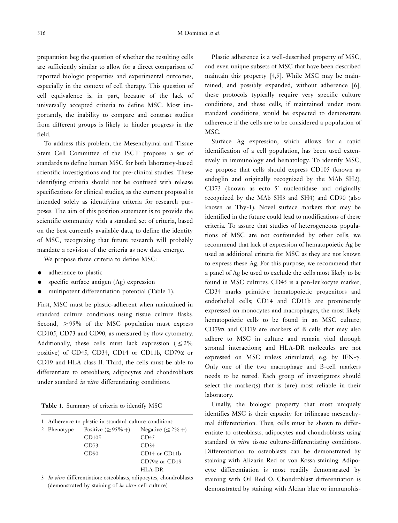preparation beg the question of whether the resulting cells are sufficiently similar to allow for a direct comparison of reported biologic properties and experimental outcomes, especially in the context of cell therapy. This question of cell equivalence is, in part, because of the lack of universally accepted criteria to define MSC. Most importantly, the inability to compare and contrast studies from different groups is likely to hinder progress in the field.

To address this problem, the Mesenchymal and Tissue Stem Cell Committee of the ISCT proposes a set of standards to define human MSC for both laboratory-based scientific investigations and for pre-clinical studies. These identifying criteria should not be confused with release specifications for clinical studies, as the current proposal is intended solely as identifying criteria for research purposes. The aim of this position statement is to provide the scientific community with a standard set of criteria, based on the best currently available data, to define the identity of MSC, recognizing that future research will probably mandate a revision of the criteria as new data emerge.

We propose three criteria to define MSC:

- adherence to plastic
- specific surface antigen (Ag) expression
- multipotent differentiation potential (Table 1).

First, MSC must be plastic-adherent when maintained in standard culture conditions using tissue culture flasks. Second,  $\geq 95\%$  of the MSC population must express CD105, CD73 and CD90, as measured by flow cytometry. Additionally, these cells must lack expression  $(52\%)$ positive) of CD45, CD34, CD14 or CD11b, CD79a or CD19 and HLA class II. Third, the cells must be able to differentiate to osteoblasts, adipocytes and chondroblasts under standard in vitro differentiating conditions.

Table 1. Summary of criteria to identify MSC

| 1 Adherence to plastic in standard culture conditions |                                                              |                                        |
|-------------------------------------------------------|--------------------------------------------------------------|----------------------------------------|
|                                                       | 2 Phenotype Positive $(\geq 95\% +)$ Negative $(\leq 2\% +)$ |                                        |
|                                                       | CD105                                                        | CD45                                   |
|                                                       | CD73                                                         | CD34                                   |
|                                                       | CD90                                                         | CD <sub>14</sub> or CD <sub>11</sub> b |
|                                                       |                                                              | $CD79\alpha$ or $CD19$                 |
|                                                       |                                                              | $HI.A-DR$                              |

3 In vitro differentiation: osteoblasts, adipocytes, chondroblasts (demonstrated by staining of in vitro cell culture)

Plastic adherence is a well-described property of MSC, and even unique subsets of MSC that have been described maintain this property [4,5]. While MSC may be maintained, and possibly expanded, without adherence [6], these protocols typically require very specific culture conditions, and these cells, if maintained under more standard conditions, would be expected to demonstrate adherence if the cells are to be considered a population of MSC.

Surface Ag expression, which allows for a rapid identification of a cell population, has been used extensively in immunology and hematology. To identify MSC, we propose that cells should express CD105 (known as endoglin and originally recognized by the MAb SH2), CD73 (known as ecto 5' nucleotidase and originally recognized by the MAb SH3 and SH4) and CD90 (also known as Thy-1). Novel surface markers that may be identified in the future could lead to modifications of these criteria. To assure that studies of heterogeneous populations of MSC are not confounded by other cells, we recommend that lack of expression of hematopoietic Ag be used as additional criteria for MSC as they are not known to express these Ag. For this purpose, we recommend that a panel of Ag be used to exclude the cells most likely to be found in MSC cultures. CD45 is a pan-leukocyte marker; CD34 marks primitive hematopoietic progenitors and endothelial cells; CD14 and CD11b are prominently expressed on monocytes and macrophages, the most likely hematopoietic cells to be found in an MSC culture; CD79 $\alpha$  and CD19 are markers of B cells that may also adhere to MSC in culture and remain vital through stromal interactions; and HLA-DR molecules are not expressed on MSC unless stimulated, e.g. by IFN- $\gamma$ . Only one of the two macrophage and B-cell markers needs to be tested. Each group of investigators should select the marker(s) that is (are) most reliable in their laboratory.

Finally, the biologic property that most uniquely identifies MSC is their capacity for trilineage mesenchymal differentiation. Thus, cells must be shown to differentiate to osteoblasts, adipocytes and chondroblasts using standard in vitro tissue culture-differentiating conditions. Differentiation to osteoblasts can be demonstrated by staining with Alizarin Red or von Kossa staining. Adipocyte differentiation is most readily demonstrated by staining with Oil Red O. Chondroblast differentiation is demonstrated by staining with Alcian blue or immunohis